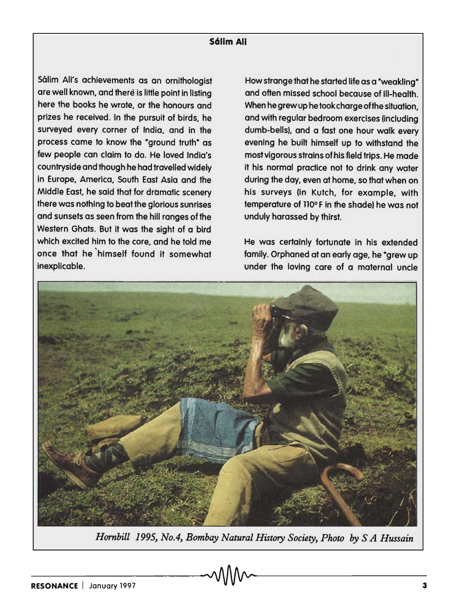## **S611m All**

Sálim Ali's achievements as an ornithologist are well known, and there is little point in listing here the books he wrote, or the honours and prizes he received. In the pursuit of birds, he surveyed every corner of India, and in the process came to know the "ground truth" as few people can claim to do. He loved India's countryside and though he had travelled widely in Europe, America, South East Asia and the Middle East, he said that for dromatic scenery there was nothing to beat the glorious sunrises and sunsets as seen from the hill ranges of the Western Ghats. But it was the sight of a bird which excited him to the core, and he told me once that he 'himself found it somewhat inexplicable.

How strange that he started life as a "weakling" and often missed school because of ill-health. When he grew up he took charge of the situation, and with regular bedroom exercises (including dumb-bells). and a fast one hour walk every evening he built himself up to withstand the most vigorous strains of his field trips. He made it his normal practice not to drink any water during the day, even at home, so that when on his surveys (in Kutch, for example, with temperature of 110°F in the shade) he was not unduly harassed by thirst.

He was certainly fortunate in his extended family. Orphaned at an early age, he "grew up under the loving care of a maternal uncle



*Harnbill* 1995, *No.4, Bombay Natural History Society, Photo by* S *A Hussain*